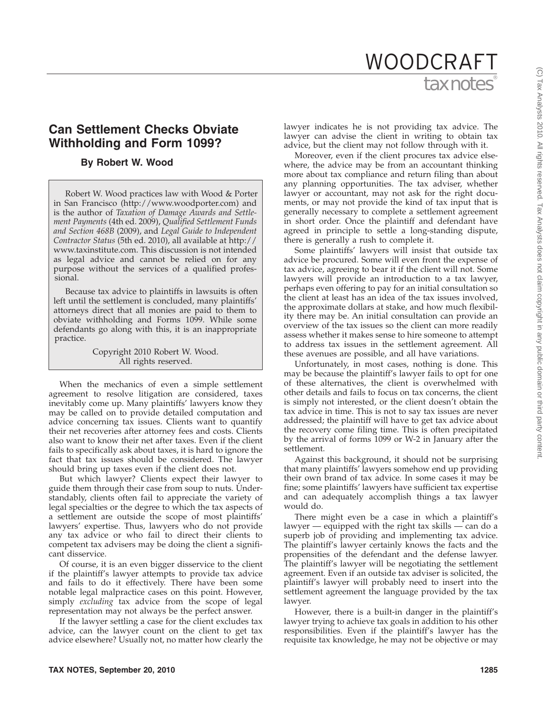# tax notes WOODCRAFT

## **Can Settlement Checks Obviate Withholding and Form 1099?**

### **By Robert W. Wood**

Robert W. Wood practices law with Wood & Porter in San Francisco (http://www.woodporter.com) and is the author of *Taxation of Damage Awards and Settlement Payments* (4th ed. 2009), *Qualified Settlement Funds and Section 468B* (2009), and *Legal Guide to Independent Contractor Status* (5th ed. 2010), all available at http:// www.taxinstitute.com. This discussion is not intended as legal advice and cannot be relied on for any purpose without the services of a qualified professional.

Because tax advice to plaintiffs in lawsuits is often left until the settlement is concluded, many plaintiffs' attorneys direct that all monies are paid to them to obviate withholding and Forms 1099. While some defendants go along with this, it is an inappropriate practice.

> Copyright 2010 Robert W. Wood. All rights reserved.

When the mechanics of even a simple settlement agreement to resolve litigation are considered, taxes inevitably come up. Many plaintiffs' lawyers know they may be called on to provide detailed computation and advice concerning tax issues. Clients want to quantify their net recoveries after attorney fees and costs. Clients also want to know their net after taxes. Even if the client fails to specifically ask about taxes, it is hard to ignore the fact that tax issues should be considered. The lawyer should bring up taxes even if the client does not.

But which lawyer? Clients expect their lawyer to guide them through their case from soup to nuts. Understandably, clients often fail to appreciate the variety of legal specialties or the degree to which the tax aspects of a settlement are outside the scope of most plaintiffs' lawyers' expertise. Thus, lawyers who do not provide any tax advice or who fail to direct their clients to competent tax advisers may be doing the client a significant disservice.

Of course, it is an even bigger disservice to the client if the plaintiff's lawyer attempts to provide tax advice and fails to do it effectively. There have been some notable legal malpractice cases on this point. However, simply *excluding* tax advice from the scope of legal representation may not always be the perfect answer.

If the lawyer settling a case for the client excludes tax advice, can the lawyer count on the client to get tax advice elsewhere? Usually not, no matter how clearly the

lawyer indicates he is not providing tax advice. The lawyer can advise the client in writing to obtain tax advice, but the client may not follow through with it.

Moreover, even if the client procures tax advice elsewhere, the advice may be from an accountant thinking more about tax compliance and return filing than about any planning opportunities. The tax adviser, whether lawyer or accountant, may not ask for the right documents, or may not provide the kind of tax input that is generally necessary to complete a settlement agreement in short order. Once the plaintiff and defendant have agreed in principle to settle a long-standing dispute, there is generally a rush to complete it.

Some plaintiffs' lawyers will insist that outside tax advice be procured. Some will even front the expense of tax advice, agreeing to bear it if the client will not. Some lawyers will provide an introduction to a tax lawyer, perhaps even offering to pay for an initial consultation so the client at least has an idea of the tax issues involved, the approximate dollars at stake, and how much flexibility there may be. An initial consultation can provide an overview of the tax issues so the client can more readily assess whether it makes sense to hire someone to attempt to address tax issues in the settlement agreement. All these avenues are possible, and all have variations.

Unfortunately, in most cases, nothing is done. This may be because the plaintiff's lawyer fails to opt for one of these alternatives, the client is overwhelmed with other details and fails to focus on tax concerns, the client is simply not interested, or the client doesn't obtain the tax advice in time. This is not to say tax issues are never addressed; the plaintiff will have to get tax advice about the recovery come filing time. This is often precipitated by the arrival of forms 1099 or W-2 in January after the settlement.

Against this background, it should not be surprising that many plaintiffs' lawyers somehow end up providing their own brand of tax advice. In some cases it may be fine; some plaintiffs' lawyers have sufficient tax expertise and can adequately accomplish things a tax lawyer would do.

There might even be a case in which a plaintiff's lawyer — equipped with the right tax skills — can do a superb job of providing and implementing tax advice. The plaintiff's lawyer certainly knows the facts and the propensities of the defendant and the defense lawyer. The plaintiff's lawyer will be negotiating the settlement agreement. Even if an outside tax adviser is solicited, the plaintiff's lawyer will probably need to insert into the settlement agreement the language provided by the tax lawyer.

However, there is a built-in danger in the plaintiff's lawyer trying to achieve tax goals in addition to his other responsibilities. Even if the plaintiff's lawyer has the requisite tax knowledge, he may not be objective or may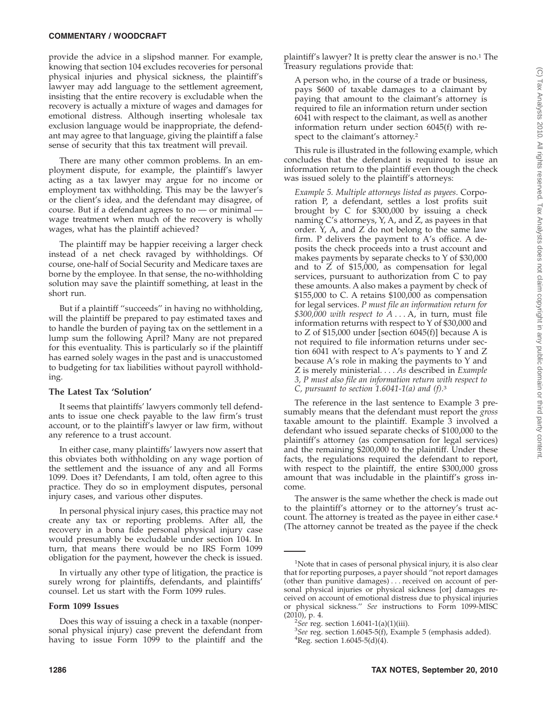provide the advice in a slipshod manner. For example, knowing that section 104 excludes recoveries for personal physical injuries and physical sickness, the plaintiff's lawyer may add language to the settlement agreement, insisting that the entire recovery is excludable when the recovery is actually a mixture of wages and damages for emotional distress. Although inserting wholesale tax exclusion language would be inappropriate, the defendant may agree to that language, giving the plaintiff a false sense of security that this tax treatment will prevail.

There are many other common problems. In an employment dispute, for example, the plaintiff's lawyer acting as a tax lawyer may argue for no income or employment tax withholding. This may be the lawyer's or the client's idea, and the defendant may disagree, of course. But if a defendant agrees to  $no - or minimal$ wage treatment when much of the recovery is wholly wages, what has the plaintiff achieved?

The plaintiff may be happier receiving a larger check instead of a net check ravaged by withholdings. Of course, one-half of Social Security and Medicare taxes are borne by the employee. In that sense, the no-withholding solution may save the plaintiff something, at least in the short run.

But if a plaintiff ''succeeds'' in having no withholding, will the plaintiff be prepared to pay estimated taxes and to handle the burden of paying tax on the settlement in a lump sum the following April? Many are not prepared for this eventuality. This is particularly so if the plaintiff has earned solely wages in the past and is unaccustomed to budgeting for tax liabilities without payroll withholding.

## **The Latest Tax 'Solution'**

It seems that plaintiffs' lawyers commonly tell defendants to issue one check payable to the law firm's trust account, or to the plaintiff's lawyer or law firm, without any reference to a trust account.

In either case, many plaintiffs' lawyers now assert that this obviates both withholding on any wage portion of the settlement and the issuance of any and all Forms 1099. Does it? Defendants, I am told, often agree to this practice. They do so in employment disputes, personal injury cases, and various other disputes.

In personal physical injury cases, this practice may not create any tax or reporting problems. After all, the recovery in a bona fide personal physical injury case would presumably be excludable under section 104. In turn, that means there would be no IRS Form 1099 obligation for the payment, however the check is issued.

In virtually any other type of litigation, the practice is surely wrong for plaintiffs, defendants, and plaintiffs' counsel. Let us start with the Form 1099 rules.

#### **Form 1099 Issues**

Does this way of issuing a check in a taxable (nonpersonal physical injury) case prevent the defendant from having to issue Form 1099 to the plaintiff and the plaintiff's lawyer? It is pretty clear the answer is no.1 The Treasury regulations provide that:

A person who, in the course of a trade or business, pays \$600 of taxable damages to a claimant by paying that amount to the claimant's attorney is required to file an information return under section 6041 with respect to the claimant, as well as another information return under section 6045(f) with respect to the claimant's attorney.2

This rule is illustrated in the following example, which concludes that the defendant is required to issue an information return to the plaintiff even though the check was issued solely to the plaintiff's attorneys:

*Example 5. Multiple attorneys listed as payees*. Corporation P, a defendant, settles a lost profits suit brought by C for \$300,000 by issuing a check naming C's attorneys, Y, A, and Z, as payees in that order.  $\bar{Y}$ , A, and Z do not belong to the same law firm. P delivers the payment to A's office. A deposits the check proceeds into a trust account and makes payments by separate checks to Y of \$30,000 and to Z of \$15,000, as compensation for legal services, pursuant to authorization from C to pay these amounts. A also makes a payment by check of \$155,000 to C. A retains \$100,000 as compensation for legal services. *P must file an information return for*  $$300,000$  with respect to  $A \dots A$ , in turn, must file information returns with respect to Y of \$30,000 and to Z of \$15,000 under [section 6045(f)] because A is not required to file information returns under section 6041 with respect to A's payments to Y and Z because A's role in making the payments to Y and Z is merely ministerial.... *As* described in *Example 3, P must also file an information return with respect to C, pursuant to section 1.6041-1(a) and (f)*. 3

The reference in the last sentence to Example 3 presumably means that the defendant must report the *gross* taxable amount to the plaintiff. Example 3 involved a defendant who issued separate checks of \$100,000 to the plaintiff's attorney (as compensation for legal services) and the remaining \$200,000 to the plaintiff. Under these facts, the regulations required the defendant to report, with respect to the plaintiff, the entire \$300,000 gross amount that was includable in the plaintiff's gross income.

The answer is the same whether the check is made out to the plaintiff's attorney or to the attorney's trust account. The attorney is treated as the payee in either case.<sup>4</sup> (The attorney cannot be treated as the payee if the check

<sup>&</sup>lt;sup>1</sup>Note that in cases of personal physical injury, it is also clear that for reporting purposes, a payer should ''not report damages (other than punitive damages)... received on account of personal physical injuries or physical sickness [or] damages received on account of emotional distress due to physical injuries or physical sickness.'' *See* instructions to Form 1099-MISC  $(2010)$ , p. 4.

 $\frac{2}{3}$ *See* reg. section 1.6041-1(a)(1)(iii).

*See* reg. section 1.6045-5(f), Example 5 (emphasis added). <sup>4</sup>  ${}^{4}$ Reg. section 1.6045-5(d)(4).